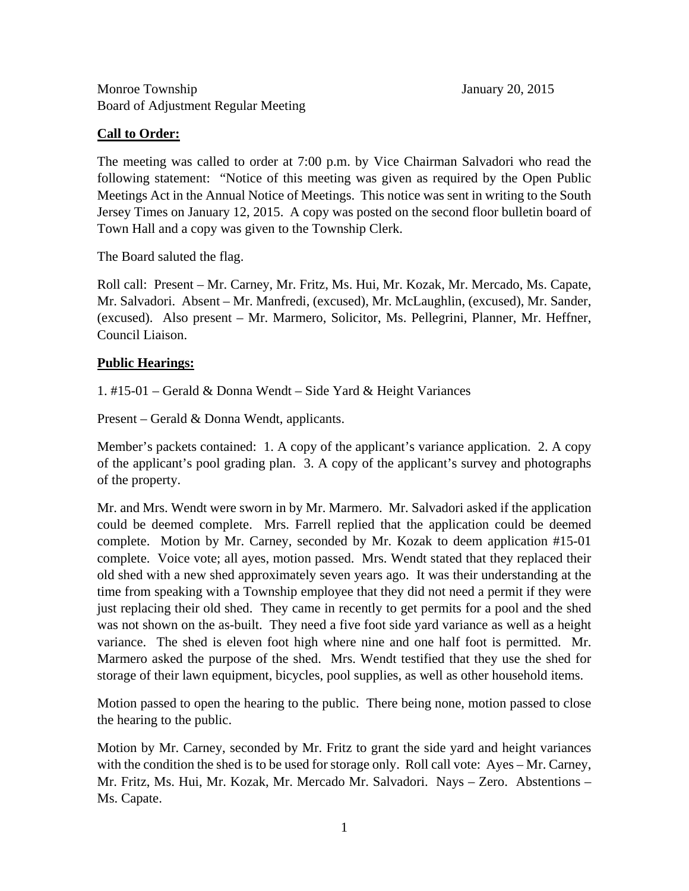## **Call to Order:**

The meeting was called to order at 7:00 p.m. by Vice Chairman Salvadori who read the following statement: "Notice of this meeting was given as required by the Open Public Meetings Act in the Annual Notice of Meetings. This notice was sent in writing to the South Jersey Times on January 12, 2015. A copy was posted on the second floor bulletin board of Town Hall and a copy was given to the Township Clerk.

The Board saluted the flag.

Roll call: Present – Mr. Carney, Mr. Fritz, Ms. Hui, Mr. Kozak, Mr. Mercado, Ms. Capate, Mr. Salvadori. Absent – Mr. Manfredi, (excused), Mr. McLaughlin, (excused), Mr. Sander, (excused). Also present – Mr. Marmero, Solicitor, Ms. Pellegrini, Planner, Mr. Heffner, Council Liaison.

## **Public Hearings:**

1. #15-01 – Gerald & Donna Wendt – Side Yard & Height Variances

Present – Gerald & Donna Wendt, applicants.

Member's packets contained: 1. A copy of the applicant's variance application. 2. A copy of the applicant's pool grading plan. 3. A copy of the applicant's survey and photographs of the property.

Mr. and Mrs. Wendt were sworn in by Mr. Marmero. Mr. Salvadori asked if the application could be deemed complete. Mrs. Farrell replied that the application could be deemed complete. Motion by Mr. Carney, seconded by Mr. Kozak to deem application #15-01 complete. Voice vote; all ayes, motion passed. Mrs. Wendt stated that they replaced their old shed with a new shed approximately seven years ago. It was their understanding at the time from speaking with a Township employee that they did not need a permit if they were just replacing their old shed. They came in recently to get permits for a pool and the shed was not shown on the as-built. They need a five foot side yard variance as well as a height variance. The shed is eleven foot high where nine and one half foot is permitted. Mr. Marmero asked the purpose of the shed. Mrs. Wendt testified that they use the shed for storage of their lawn equipment, bicycles, pool supplies, as well as other household items.

Motion passed to open the hearing to the public. There being none, motion passed to close the hearing to the public.

Motion by Mr. Carney, seconded by Mr. Fritz to grant the side yard and height variances with the condition the shed is to be used for storage only. Roll call vote: Ayes – Mr. Carney, Mr. Fritz, Ms. Hui, Mr. Kozak, Mr. Mercado Mr. Salvadori. Nays – Zero. Abstentions – Ms. Capate.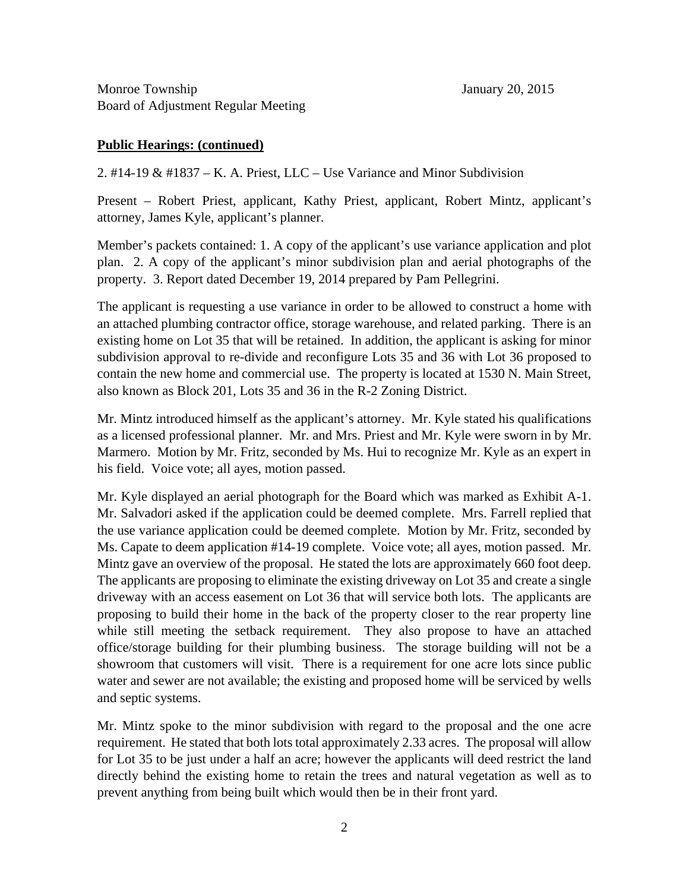## **Public Hearings: (continued)**

2. #14-19 & #1837 – K. A. Priest, LLC – Use Variance and Minor Subdivision

Present – Robert Priest, applicant, Kathy Priest, applicant, Robert Mintz, applicant's attorney, James Kyle, applicant's planner.

Member's packets contained: 1. A copy of the applicant's use variance application and plot plan. 2. A copy of the applicant's minor subdivision plan and aerial photographs of the property. 3. Report dated December 19, 2014 prepared by Pam Pellegrini.

The applicant is requesting a use variance in order to be allowed to construct a home with an attached plumbing contractor office, storage warehouse, and related parking. There is an existing home on Lot 35 that will be retained. In addition, the applicant is asking for minor subdivision approval to re-divide and reconfigure Lots 35 and 36 with Lot 36 proposed to contain the new home and commercial use. The property is located at 1530 N. Main Street, also known as Block 201, Lots 35 and 36 in the R-2 Zoning District.

Mr. Mintz introduced himself as the applicant's attorney. Mr. Kyle stated his qualifications as a licensed professional planner. Mr. and Mrs. Priest and Mr. Kyle were sworn in by Mr. Marmero. Motion by Mr. Fritz, seconded by Ms. Hui to recognize Mr. Kyle as an expert in his field. Voice vote; all ayes, motion passed.

Mr. Kyle displayed an aerial photograph for the Board which was marked as Exhibit A-1. Mr. Salvadori asked if the application could be deemed complete. Mrs. Farrell replied that the use variance application could be deemed complete. Motion by Mr. Fritz, seconded by Ms. Capate to deem application #14-19 complete. Voice vote; all ayes, motion passed. Mr. Mintz gave an overview of the proposal. He stated the lots are approximately 660 foot deep. The applicants are proposing to eliminate the existing driveway on Lot 35 and create a single driveway with an access easement on Lot 36 that will service both lots. The applicants are proposing to build their home in the back of the property closer to the rear property line while still meeting the setback requirement. They also propose to have an attached office/storage building for their plumbing business. The storage building will not be a showroom that customers will visit. There is a requirement for one acre lots since public water and sewer are not available; the existing and proposed home will be serviced by wells and septic systems.

Mr. Mintz spoke to the minor subdivision with regard to the proposal and the one acre requirement. He stated that both lots total approximately 2.33 acres. The proposal will allow for Lot 35 to be just under a half an acre; however the applicants will deed restrict the land directly behind the existing home to retain the trees and natural vegetation as well as to prevent anything from being built which would then be in their front yard.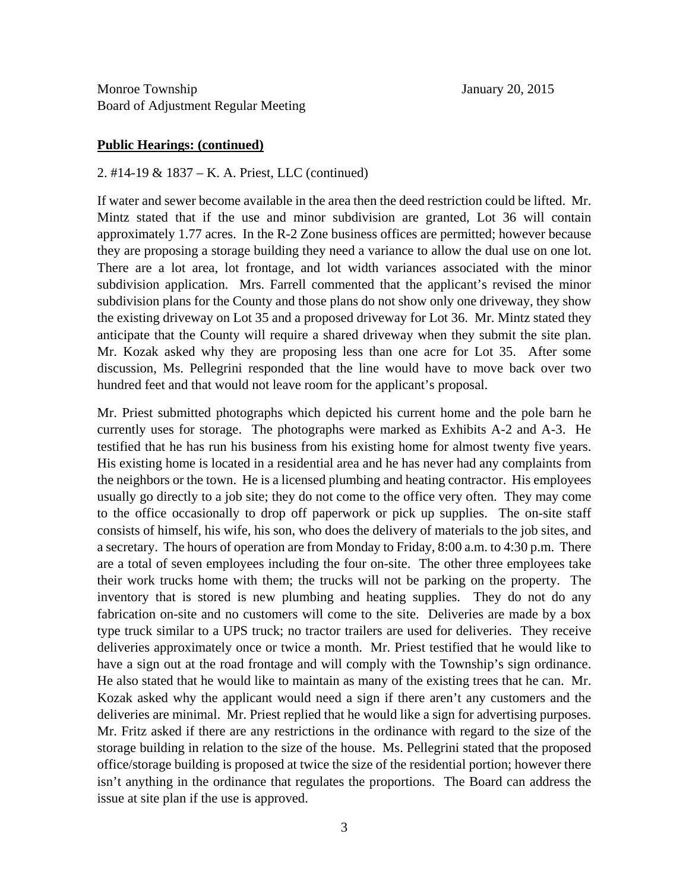### **Public Hearings: (continued)**

2. #14-19 & 1837 – K. A. Priest, LLC (continued)

If water and sewer become available in the area then the deed restriction could be lifted. Mr. Mintz stated that if the use and minor subdivision are granted, Lot 36 will contain approximately 1.77 acres. In the R-2 Zone business offices are permitted; however because they are proposing a storage building they need a variance to allow the dual use on one lot. There are a lot area, lot frontage, and lot width variances associated with the minor subdivision application. Mrs. Farrell commented that the applicant's revised the minor subdivision plans for the County and those plans do not show only one driveway, they show the existing driveway on Lot 35 and a proposed driveway for Lot 36. Mr. Mintz stated they anticipate that the County will require a shared driveway when they submit the site plan. Mr. Kozak asked why they are proposing less than one acre for Lot 35. After some discussion, Ms. Pellegrini responded that the line would have to move back over two hundred feet and that would not leave room for the applicant's proposal.

Mr. Priest submitted photographs which depicted his current home and the pole barn he currently uses for storage. The photographs were marked as Exhibits A-2 and A-3. He testified that he has run his business from his existing home for almost twenty five years. His existing home is located in a residential area and he has never had any complaints from the neighbors or the town. He is a licensed plumbing and heating contractor. His employees usually go directly to a job site; they do not come to the office very often. They may come to the office occasionally to drop off paperwork or pick up supplies. The on-site staff consists of himself, his wife, his son, who does the delivery of materials to the job sites, and a secretary. The hours of operation are from Monday to Friday, 8:00 a.m. to 4:30 p.m. There are a total of seven employees including the four on-site. The other three employees take their work trucks home with them; the trucks will not be parking on the property. The inventory that is stored is new plumbing and heating supplies. They do not do any fabrication on-site and no customers will come to the site. Deliveries are made by a box type truck similar to a UPS truck; no tractor trailers are used for deliveries. They receive deliveries approximately once or twice a month. Mr. Priest testified that he would like to have a sign out at the road frontage and will comply with the Township's sign ordinance. He also stated that he would like to maintain as many of the existing trees that he can. Mr. Kozak asked why the applicant would need a sign if there aren't any customers and the deliveries are minimal. Mr. Priest replied that he would like a sign for advertising purposes. Mr. Fritz asked if there are any restrictions in the ordinance with regard to the size of the storage building in relation to the size of the house. Ms. Pellegrini stated that the proposed office/storage building is proposed at twice the size of the residential portion; however there isn't anything in the ordinance that regulates the proportions. The Board can address the issue at site plan if the use is approved.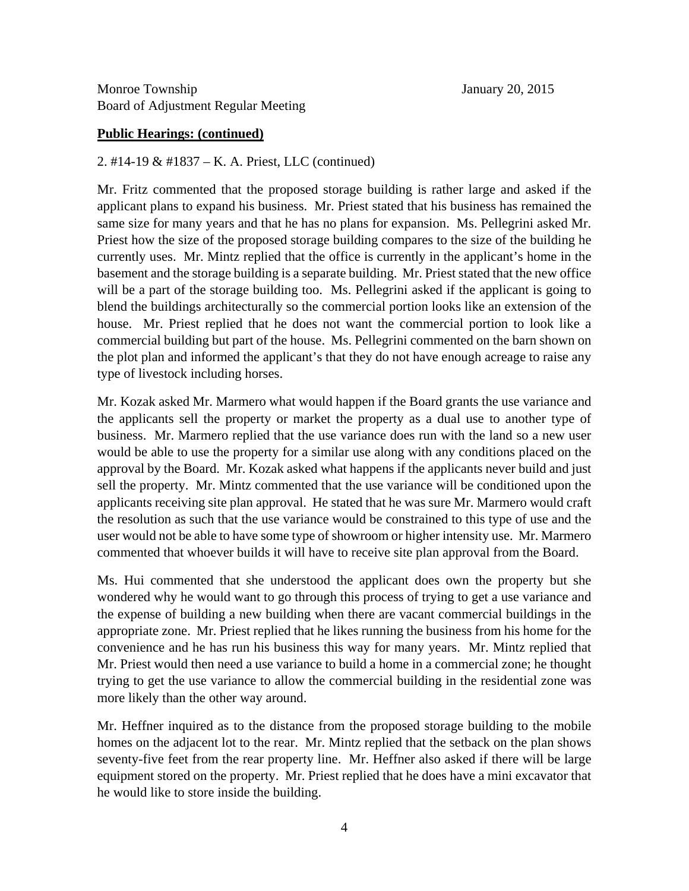### **Public Hearings: (continued)**

2. #14-19 & #1837 – K. A. Priest, LLC (continued)

Mr. Fritz commented that the proposed storage building is rather large and asked if the applicant plans to expand his business. Mr. Priest stated that his business has remained the same size for many years and that he has no plans for expansion. Ms. Pellegrini asked Mr. Priest how the size of the proposed storage building compares to the size of the building he currently uses. Mr. Mintz replied that the office is currently in the applicant's home in the basement and the storage building is a separate building. Mr. Priest stated that the new office will be a part of the storage building too. Ms. Pellegrini asked if the applicant is going to blend the buildings architecturally so the commercial portion looks like an extension of the house. Mr. Priest replied that he does not want the commercial portion to look like a commercial building but part of the house. Ms. Pellegrini commented on the barn shown on the plot plan and informed the applicant's that they do not have enough acreage to raise any type of livestock including horses.

Mr. Kozak asked Mr. Marmero what would happen if the Board grants the use variance and the applicants sell the property or market the property as a dual use to another type of business. Mr. Marmero replied that the use variance does run with the land so a new user would be able to use the property for a similar use along with any conditions placed on the approval by the Board. Mr. Kozak asked what happens if the applicants never build and just sell the property. Mr. Mintz commented that the use variance will be conditioned upon the applicants receiving site plan approval. He stated that he was sure Mr. Marmero would craft the resolution as such that the use variance would be constrained to this type of use and the user would not be able to have some type of showroom or higher intensity use. Mr. Marmero commented that whoever builds it will have to receive site plan approval from the Board.

Ms. Hui commented that she understood the applicant does own the property but she wondered why he would want to go through this process of trying to get a use variance and the expense of building a new building when there are vacant commercial buildings in the appropriate zone. Mr. Priest replied that he likes running the business from his home for the convenience and he has run his business this way for many years. Mr. Mintz replied that Mr. Priest would then need a use variance to build a home in a commercial zone; he thought trying to get the use variance to allow the commercial building in the residential zone was more likely than the other way around.

Mr. Heffner inquired as to the distance from the proposed storage building to the mobile homes on the adjacent lot to the rear. Mr. Mintz replied that the setback on the plan shows seventy-five feet from the rear property line. Mr. Heffner also asked if there will be large equipment stored on the property. Mr. Priest replied that he does have a mini excavator that he would like to store inside the building.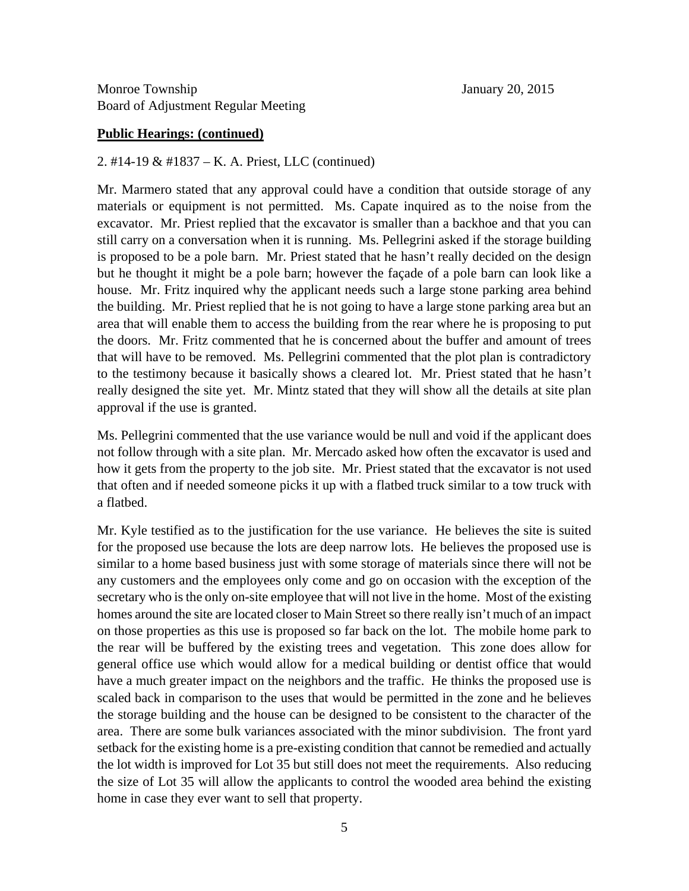### **Public Hearings: (continued)**

2. #14-19 & #1837 – K. A. Priest, LLC (continued)

Mr. Marmero stated that any approval could have a condition that outside storage of any materials or equipment is not permitted. Ms. Capate inquired as to the noise from the excavator. Mr. Priest replied that the excavator is smaller than a backhoe and that you can still carry on a conversation when it is running. Ms. Pellegrini asked if the storage building is proposed to be a pole barn. Mr. Priest stated that he hasn't really decided on the design but he thought it might be a pole barn; however the façade of a pole barn can look like a house. Mr. Fritz inquired why the applicant needs such a large stone parking area behind the building. Mr. Priest replied that he is not going to have a large stone parking area but an area that will enable them to access the building from the rear where he is proposing to put the doors. Mr. Fritz commented that he is concerned about the buffer and amount of trees that will have to be removed. Ms. Pellegrini commented that the plot plan is contradictory to the testimony because it basically shows a cleared lot. Mr. Priest stated that he hasn't really designed the site yet. Mr. Mintz stated that they will show all the details at site plan approval if the use is granted.

Ms. Pellegrini commented that the use variance would be null and void if the applicant does not follow through with a site plan. Mr. Mercado asked how often the excavator is used and how it gets from the property to the job site. Mr. Priest stated that the excavator is not used that often and if needed someone picks it up with a flatbed truck similar to a tow truck with a flatbed.

Mr. Kyle testified as to the justification for the use variance. He believes the site is suited for the proposed use because the lots are deep narrow lots. He believes the proposed use is similar to a home based business just with some storage of materials since there will not be any customers and the employees only come and go on occasion with the exception of the secretary who is the only on-site employee that will not live in the home. Most of the existing homes around the site are located closer to Main Street so there really isn't much of an impact on those properties as this use is proposed so far back on the lot. The mobile home park to the rear will be buffered by the existing trees and vegetation. This zone does allow for general office use which would allow for a medical building or dentist office that would have a much greater impact on the neighbors and the traffic. He thinks the proposed use is scaled back in comparison to the uses that would be permitted in the zone and he believes the storage building and the house can be designed to be consistent to the character of the area. There are some bulk variances associated with the minor subdivision. The front yard setback for the existing home is a pre-existing condition that cannot be remedied and actually the lot width is improved for Lot 35 but still does not meet the requirements. Also reducing the size of Lot 35 will allow the applicants to control the wooded area behind the existing home in case they ever want to sell that property.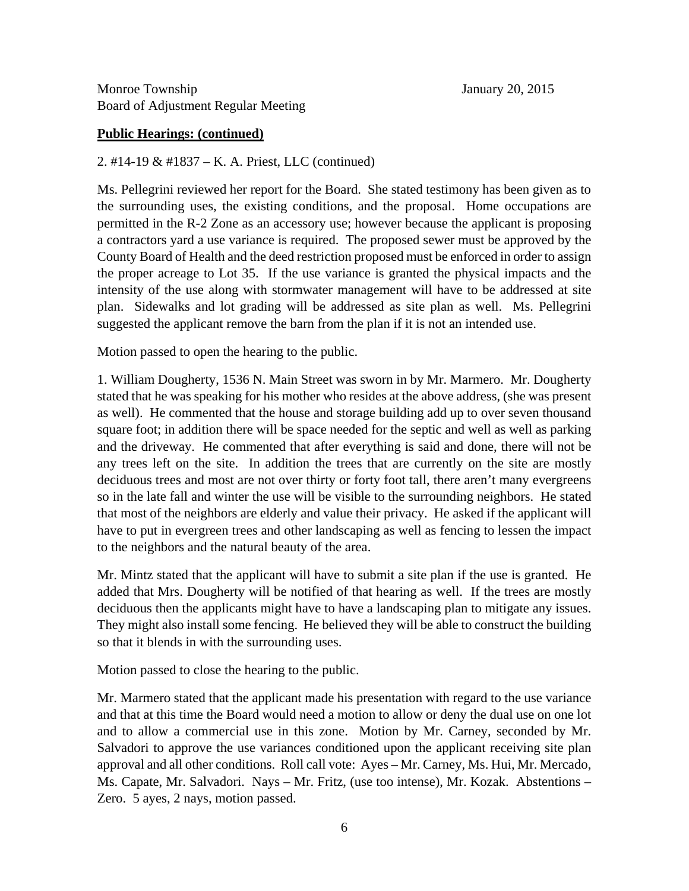### **Public Hearings: (continued)**

2. #14-19 & #1837 – K. A. Priest, LLC (continued)

Ms. Pellegrini reviewed her report for the Board. She stated testimony has been given as to the surrounding uses, the existing conditions, and the proposal. Home occupations are permitted in the R-2 Zone as an accessory use; however because the applicant is proposing a contractors yard a use variance is required. The proposed sewer must be approved by the County Board of Health and the deed restriction proposed must be enforced in order to assign the proper acreage to Lot 35. If the use variance is granted the physical impacts and the intensity of the use along with stormwater management will have to be addressed at site plan. Sidewalks and lot grading will be addressed as site plan as well. Ms. Pellegrini suggested the applicant remove the barn from the plan if it is not an intended use.

Motion passed to open the hearing to the public.

1. William Dougherty, 1536 N. Main Street was sworn in by Mr. Marmero. Mr. Dougherty stated that he was speaking for his mother who resides at the above address, (she was present as well). He commented that the house and storage building add up to over seven thousand square foot; in addition there will be space needed for the septic and well as well as parking and the driveway. He commented that after everything is said and done, there will not be any trees left on the site. In addition the trees that are currently on the site are mostly deciduous trees and most are not over thirty or forty foot tall, there aren't many evergreens so in the late fall and winter the use will be visible to the surrounding neighbors. He stated that most of the neighbors are elderly and value their privacy. He asked if the applicant will have to put in evergreen trees and other landscaping as well as fencing to lessen the impact to the neighbors and the natural beauty of the area.

Mr. Mintz stated that the applicant will have to submit a site plan if the use is granted. He added that Mrs. Dougherty will be notified of that hearing as well. If the trees are mostly deciduous then the applicants might have to have a landscaping plan to mitigate any issues. They might also install some fencing. He believed they will be able to construct the building so that it blends in with the surrounding uses.

Motion passed to close the hearing to the public.

Mr. Marmero stated that the applicant made his presentation with regard to the use variance and that at this time the Board would need a motion to allow or deny the dual use on one lot and to allow a commercial use in this zone. Motion by Mr. Carney, seconded by Mr. Salvadori to approve the use variances conditioned upon the applicant receiving site plan approval and all other conditions. Roll call vote: Ayes – Mr. Carney, Ms. Hui, Mr. Mercado, Ms. Capate, Mr. Salvadori. Nays – Mr. Fritz, (use too intense), Mr. Kozak. Abstentions – Zero. 5 ayes, 2 nays, motion passed.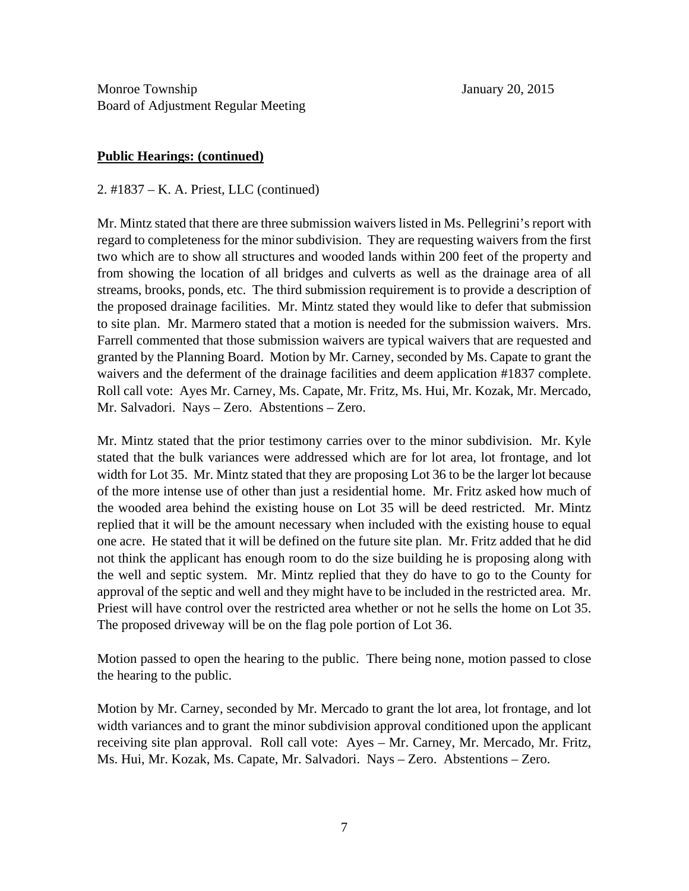### **Public Hearings: (continued)**

2. #1837 – K. A. Priest, LLC (continued)

Mr. Mintz stated that there are three submission waivers listed in Ms. Pellegrini's report with regard to completeness for the minor subdivision. They are requesting waivers from the first two which are to show all structures and wooded lands within 200 feet of the property and from showing the location of all bridges and culverts as well as the drainage area of all streams, brooks, ponds, etc. The third submission requirement is to provide a description of the proposed drainage facilities. Mr. Mintz stated they would like to defer that submission to site plan. Mr. Marmero stated that a motion is needed for the submission waivers. Mrs. Farrell commented that those submission waivers are typical waivers that are requested and granted by the Planning Board. Motion by Mr. Carney, seconded by Ms. Capate to grant the waivers and the deferment of the drainage facilities and deem application #1837 complete. Roll call vote: Ayes Mr. Carney, Ms. Capate, Mr. Fritz, Ms. Hui, Mr. Kozak, Mr. Mercado, Mr. Salvadori. Nays – Zero. Abstentions – Zero.

Mr. Mintz stated that the prior testimony carries over to the minor subdivision. Mr. Kyle stated that the bulk variances were addressed which are for lot area, lot frontage, and lot width for Lot 35. Mr. Mintz stated that they are proposing Lot 36 to be the larger lot because of the more intense use of other than just a residential home. Mr. Fritz asked how much of the wooded area behind the existing house on Lot 35 will be deed restricted. Mr. Mintz replied that it will be the amount necessary when included with the existing house to equal one acre. He stated that it will be defined on the future site plan. Mr. Fritz added that he did not think the applicant has enough room to do the size building he is proposing along with the well and septic system. Mr. Mintz replied that they do have to go to the County for approval of the septic and well and they might have to be included in the restricted area. Mr. Priest will have control over the restricted area whether or not he sells the home on Lot 35. The proposed driveway will be on the flag pole portion of Lot 36.

Motion passed to open the hearing to the public. There being none, motion passed to close the hearing to the public.

Motion by Mr. Carney, seconded by Mr. Mercado to grant the lot area, lot frontage, and lot width variances and to grant the minor subdivision approval conditioned upon the applicant receiving site plan approval. Roll call vote: Ayes – Mr. Carney, Mr. Mercado, Mr. Fritz, Ms. Hui, Mr. Kozak, Ms. Capate, Mr. Salvadori. Nays – Zero. Abstentions – Zero.